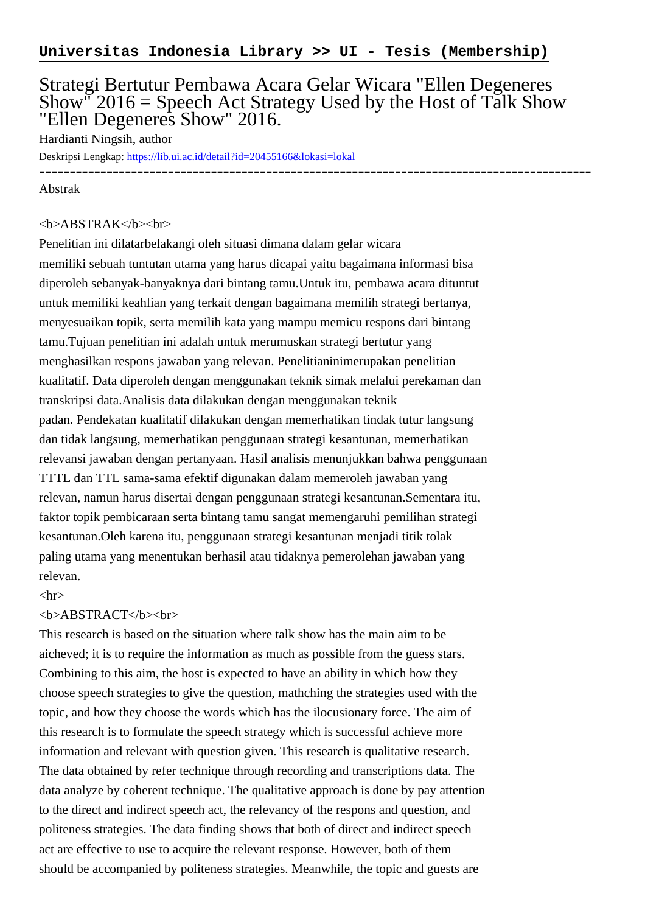# Strategi Bertutur Pembawa Acara Gelar Wicara "Ellen Degeneres Show"  $2016$  = Speech Act Strategy Used by the Host of Talk Show "Ellen Degeneres Show" 2016.

Hardianti Ningsih, author

Deskripsi Lengkap:<https://lib.ui.ac.id/detail?id=20455166&lokasi=lokal>

# ------------------------------------------------------------------------------------------ Abstrak

## <b>ABSTRAK</b><br>

Penelitian ini dilatarbelakangi oleh situasi dimana dalam gelar wicara memiliki sebuah tuntutan utama yang harus dicapai yaitu bagaimana informasi bisa diperoleh sebanyak-banyaknya dari bintang tamu.Untuk itu, pembawa acara dituntut untuk memiliki keahlian yang terkait dengan bagaimana memilih strategi bertanya, menyesuaikan topik, serta memilih kata yang mampu memicu respons dari bintang tamu.Tujuan penelitian ini adalah untuk merumuskan strategi bertutur yang menghasilkan respons jawaban yang relevan. Penelitianinimerupakan penelitian kualitatif. Data diperoleh dengan menggunakan teknik simak melalui perekaman dan transkripsi data.Analisis data dilakukan dengan menggunakan teknik padan. Pendekatan kualitatif dilakukan dengan memerhatikan tindak tutur langsung dan tidak langsung, memerhatikan penggunaan strategi kesantunan, memerhatikan relevansi jawaban dengan pertanyaan. Hasil analisis menunjukkan bahwa penggunaan TTTL dan TTL sama-sama efektif digunakan dalam memeroleh jawaban yang relevan, namun harus disertai dengan penggunaan strategi kesantunan.Sementara itu, faktor topik pembicaraan serta bintang tamu sangat memengaruhi pemilihan strategi kesantunan.Oleh karena itu, penggunaan strategi kesantunan menjadi titik tolak paling utama yang menentukan berhasil atau tidaknya pemerolehan jawaban yang relevan.

## $\langle$ hr $>$

## <b>ABSTRACT</b><br>

This research is based on the situation where talk show has the main aim to be aicheved; it is to require the information as much as possible from the guess stars. Combining to this aim, the host is expected to have an ability in which how they choose speech strategies to give the question, mathching the strategies used with the topic, and how they choose the words which has the ilocusionary force. The aim of this research is to formulate the speech strategy which is successful achieve more information and relevant with question given. This research is qualitative research. The data obtained by refer technique through recording and transcriptions data. The data analyze by coherent technique. The qualitative approach is done by pay attention to the direct and indirect speech act, the relevancy of the respons and question, and politeness strategies. The data finding shows that both of direct and indirect speech act are effective to use to acquire the relevant response. However, both of them should be accompanied by politeness strategies. Meanwhile, the topic and guests are